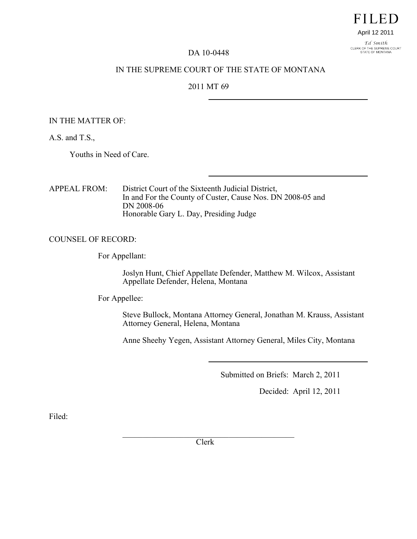# **FILED** April 12 2011

Ed Smith CLERK OF THE SUPREME COURT<br>STATE OF MONTANA

DA 10-0448

### IN THE SUPREME COURT OF THE STATE OF MONTANA

### 2011 MT 69

#### IN THE MATTER OF:

A.S. and T.S.,

Youths in Need of Care.

APPEAL FROM: District Court of the Sixteenth Judicial District, In and For the County of Custer, Cause Nos. DN 2008-05 and DN 2008-06 Honorable Gary L. Day, Presiding Judge

#### COUNSEL OF RECORD:

For Appellant:

Joslyn Hunt, Chief Appellate Defender, Matthew M. Wilcox, Assistant Appellate Defender, Helena, Montana

For Appellee:

Steve Bullock, Montana Attorney General, Jonathan M. Krauss, Assistant Attorney General, Helena, Montana

Anne Sheehy Yegen, Assistant Attorney General, Miles City, Montana

Submitted on Briefs: March 2, 2011

Decided: April 12, 2011

Filed:

 $\mathcal{L}_\text{max}$  , where  $\mathcal{L}_\text{max}$  and  $\mathcal{L}_\text{max}$  and  $\mathcal{L}_\text{max}$ Clerk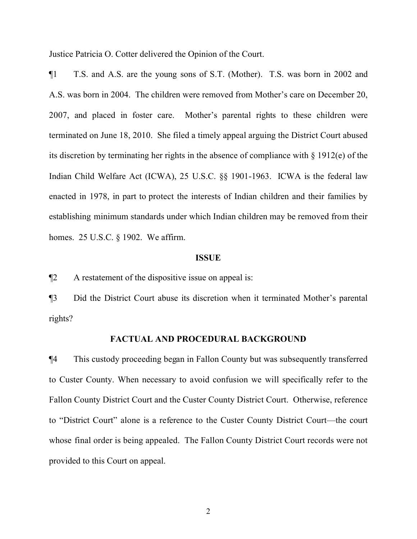Justice Patricia O. Cotter delivered the Opinion of the Court.

¶1 T.S. and A.S. are the young sons of S.T. (Mother). T.S. was born in 2002 and A.S. was born in 2004. The children were removed from Mother's care on December 20, 2007, and placed in foster care. Mother's parental rights to these children were terminated on June 18, 2010. She filed a timely appeal arguing the District Court abused its discretion by terminating her rights in the absence of compliance with § 1912(e) of the Indian Child Welfare Act (ICWA), 25 U.S.C. §§ 1901-1963. ICWA is the federal law enacted in 1978, in part to protect the interests of Indian children and their families by establishing minimum standards under which Indian children may be removed from their homes. 25 U.S.C. § 1902. We affirm.

### **ISSUE**

¶2 A restatement of the dispositive issue on appeal is:

¶3 Did the District Court abuse its discretion when it terminated Mother's parental rights?

#### **FACTUAL AND PROCEDURAL BACKGROUND**

¶4 This custody proceeding began in Fallon County but was subsequently transferred to Custer County. When necessary to avoid confusion we will specifically refer to the Fallon County District Court and the Custer County District Court. Otherwise, reference to "District Court" alone is a reference to the Custer County District Court—the court whose final order is being appealed. The Fallon County District Court records were not provided to this Court on appeal.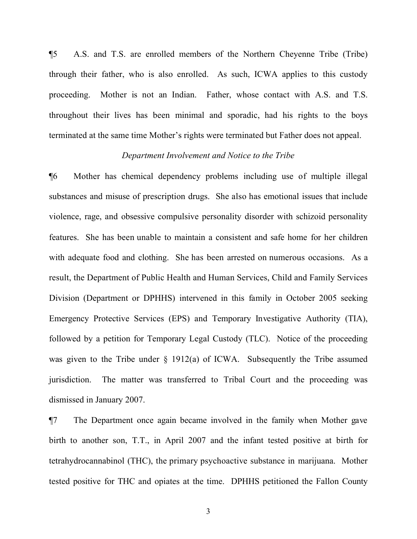¶5 A.S. and T.S. are enrolled members of the Northern Cheyenne Tribe (Tribe) through their father, who is also enrolled. As such, ICWA applies to this custody proceeding. Mother is not an Indian. Father, whose contact with A.S. and T.S. throughout their lives has been minimal and sporadic, had his rights to the boys terminated at the same time Mother's rights were terminated but Father does not appeal.

# *Department Involvement and Notice to the Tribe*

¶6 Mother has chemical dependency problems including use of multiple illegal substances and misuse of prescription drugs. She also has emotional issues that include violence, rage, and obsessive compulsive personality disorder with schizoid personality features. She has been unable to maintain a consistent and safe home for her children with adequate food and clothing. She has been arrested on numerous occasions. As a result, the Department of Public Health and Human Services, Child and Family Services Division (Department or DPHHS) intervened in this family in October 2005 seeking Emergency Protective Services (EPS) and Temporary Investigative Authority (TIA), followed by a petition for Temporary Legal Custody (TLC). Notice of the proceeding was given to the Tribe under § 1912(a) of ICWA. Subsequently the Tribe assumed jurisdiction. The matter was transferred to Tribal Court and the proceeding was dismissed in January 2007.

¶7 The Department once again became involved in the family when Mother gave birth to another son, T.T., in April 2007 and the infant tested positive at birth for tetrahydrocannabinol (THC), the primary psychoactive substance in marijuana. Mother tested positive for THC and opiates at the time. DPHHS petitioned the Fallon County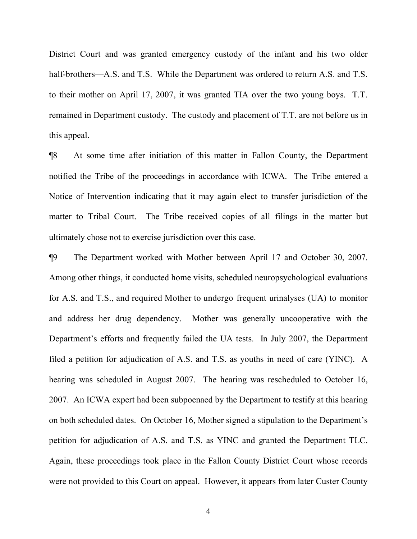District Court and was granted emergency custody of the infant and his two older half-brothers—A.S. and T.S. While the Department was ordered to return A.S. and T.S. to their mother on April 17, 2007, it was granted TIA over the two young boys. T.T. remained in Department custody. The custody and placement of T.T. are not before us in this appeal.

¶8 At some time after initiation of this matter in Fallon County, the Department notified the Tribe of the proceedings in accordance with ICWA. The Tribe entered a Notice of Intervention indicating that it may again elect to transfer jurisdiction of the matter to Tribal Court. The Tribe received copies of all filings in the matter but ultimately chose not to exercise jurisdiction over this case.

¶9 The Department worked with Mother between April 17 and October 30, 2007. Among other things, it conducted home visits, scheduled neuropsychological evaluations for A.S. and T.S., and required Mother to undergo frequent urinalyses (UA) to monitor and address her drug dependency. Mother was generally uncooperative with the Department's efforts and frequently failed the UA tests. In July 2007, the Department filed a petition for adjudication of A.S. and T.S. as youths in need of care (YINC). A hearing was scheduled in August 2007. The hearing was rescheduled to October 16, 2007. An ICWA expert had been subpoenaed by the Department to testify at this hearing on both scheduled dates. On October 16, Mother signed a stipulation to the Department's petition for adjudication of A.S. and T.S. as YINC and granted the Department TLC. Again, these proceedings took place in the Fallon County District Court whose records were not provided to this Court on appeal. However, it appears from later Custer County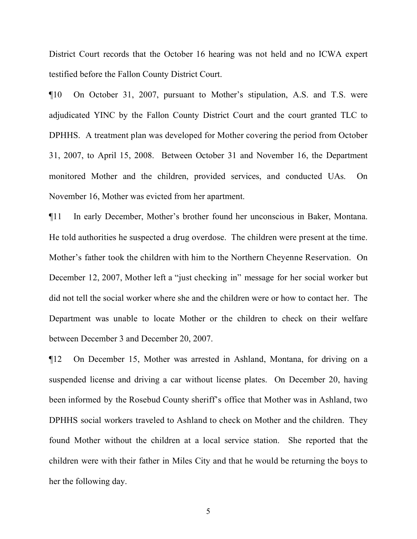District Court records that the October 16 hearing was not held and no ICWA expert testified before the Fallon County District Court.

¶10 On October 31, 2007, pursuant to Mother's stipulation, A.S. and T.S. were adjudicated YINC by the Fallon County District Court and the court granted TLC to DPHHS. A treatment plan was developed for Mother covering the period from October 31, 2007, to April 15, 2008. Between October 31 and November 16, the Department monitored Mother and the children, provided services, and conducted UAs. On November 16, Mother was evicted from her apartment.

¶11 In early December, Mother's brother found her unconscious in Baker, Montana. He told authorities he suspected a drug overdose. The children were present at the time. Mother's father took the children with him to the Northern Cheyenne Reservation. On December 12, 2007, Mother left a "just checking in" message for her social worker but did not tell the social worker where she and the children were or how to contact her. The Department was unable to locate Mother or the children to check on their welfare between December 3 and December 20, 2007.

¶12 On December 15, Mother was arrested in Ashland, Montana, for driving on a suspended license and driving a car without license plates. On December 20, having been informed by the Rosebud County sheriff's office that Mother was in Ashland, two DPHHS social workers traveled to Ashland to check on Mother and the children. They found Mother without the children at a local service station. She reported that the children were with their father in Miles City and that he would be returning the boys to her the following day.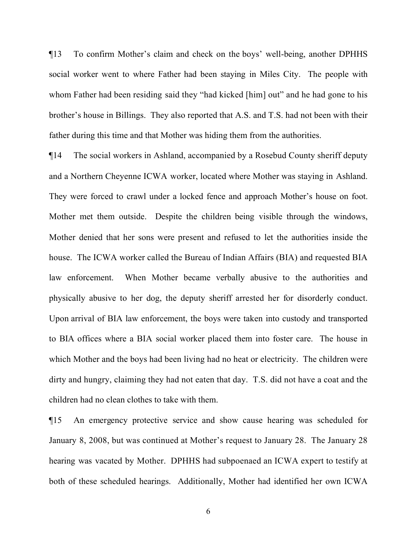¶13 To confirm Mother's claim and check on the boys' well-being, another DPHHS social worker went to where Father had been staying in Miles City. The people with whom Father had been residing said they "had kicked [him] out" and he had gone to his brother's house in Billings. They also reported that A.S. and T.S. had not been with their father during this time and that Mother was hiding them from the authorities.

¶14 The social workers in Ashland, accompanied by a Rosebud County sheriff deputy and a Northern Cheyenne ICWA worker, located where Mother was staying in Ashland. They were forced to crawl under a locked fence and approach Mother's house on foot. Mother met them outside. Despite the children being visible through the windows, Mother denied that her sons were present and refused to let the authorities inside the house. The ICWA worker called the Bureau of Indian Affairs (BIA) and requested BIA law enforcement. When Mother became verbally abusive to the authorities and physically abusive to her dog, the deputy sheriff arrested her for disorderly conduct. Upon arrival of BIA law enforcement, the boys were taken into custody and transported to BIA offices where a BIA social worker placed them into foster care. The house in which Mother and the boys had been living had no heat or electricity. The children were dirty and hungry, claiming they had not eaten that day. T.S. did not have a coat and the children had no clean clothes to take with them.

¶15 An emergency protective service and show cause hearing was scheduled for January 8, 2008, but was continued at Mother's request to January 28. The January 28 hearing was vacated by Mother. DPHHS had subpoenaed an ICWA expert to testify at both of these scheduled hearings. Additionally, Mother had identified her own ICWA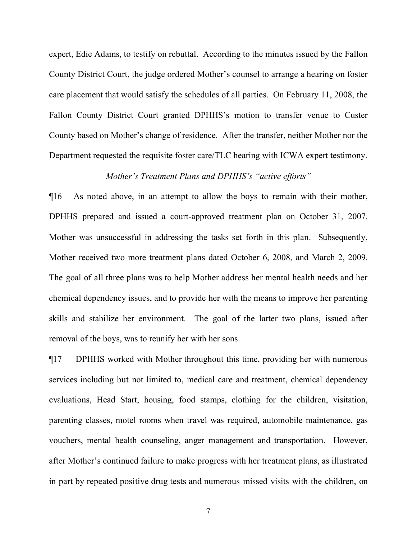expert, Edie Adams, to testify on rebuttal. According to the minutes issued by the Fallon County District Court, the judge ordered Mother's counsel to arrange a hearing on foster care placement that would satisfy the schedules of all parties. On February 11, 2008, the Fallon County District Court granted DPHHS's motion to transfer venue to Custer County based on Mother's change of residence. After the transfer, neither Mother nor the Department requested the requisite foster care/TLC hearing with ICWA expert testimony.

# *Mother's Treatment Plans and DPHHS's "active efforts"*

¶16 As noted above, in an attempt to allow the boys to remain with their mother, DPHHS prepared and issued a court-approved treatment plan on October 31, 2007. Mother was unsuccessful in addressing the tasks set forth in this plan. Subsequently, Mother received two more treatment plans dated October 6, 2008, and March 2, 2009. The goal of all three plans was to help Mother address her mental health needs and her chemical dependency issues, and to provide her with the means to improve her parenting skills and stabilize her environment. The goal of the latter two plans, issued after removal of the boys, was to reunify her with her sons.

¶17 DPHHS worked with Mother throughout this time, providing her with numerous services including but not limited to, medical care and treatment, chemical dependency evaluations, Head Start, housing, food stamps, clothing for the children, visitation, parenting classes, motel rooms when travel was required, automobile maintenance, gas vouchers, mental health counseling, anger management and transportation. However, after Mother's continued failure to make progress with her treatment plans, as illustrated in part by repeated positive drug tests and numerous missed visits with the children, on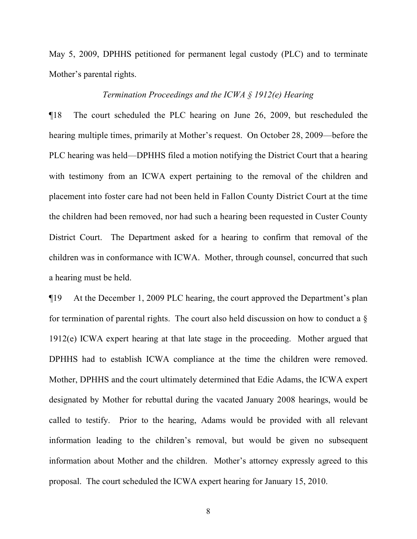May 5, 2009, DPHHS petitioned for permanent legal custody (PLC) and to terminate Mother's parental rights.

### *Termination Proceedings and the ICWA § 1912(e) Hearing*

¶18 The court scheduled the PLC hearing on June 26, 2009, but rescheduled the hearing multiple times, primarily at Mother's request. On October 28, 2009—before the PLC hearing was held—DPHHS filed a motion notifying the District Court that a hearing with testimony from an ICWA expert pertaining to the removal of the children and placement into foster care had not been held in Fallon County District Court at the time the children had been removed, nor had such a hearing been requested in Custer County District Court. The Department asked for a hearing to confirm that removal of the children was in conformance with ICWA. Mother, through counsel, concurred that such a hearing must be held.

¶19 At the December 1, 2009 PLC hearing, the court approved the Department's plan for termination of parental rights. The court also held discussion on how to conduct a  $\delta$ 1912(e) ICWA expert hearing at that late stage in the proceeding. Mother argued that DPHHS had to establish ICWA compliance at the time the children were removed. Mother, DPHHS and the court ultimately determined that Edie Adams, the ICWA expert designated by Mother for rebuttal during the vacated January 2008 hearings, would be called to testify. Prior to the hearing, Adams would be provided with all relevant information leading to the children's removal, but would be given no subsequent information about Mother and the children. Mother's attorney expressly agreed to this proposal. The court scheduled the ICWA expert hearing for January 15, 2010.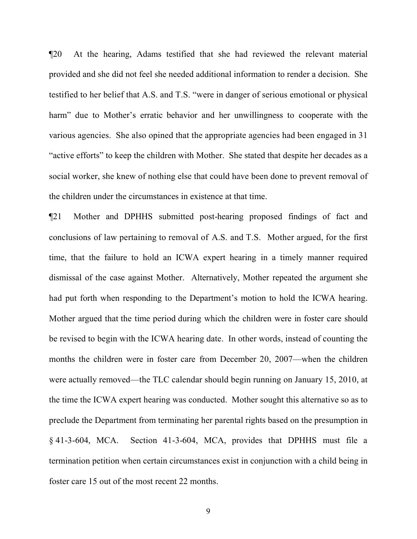¶20 At the hearing, Adams testified that she had reviewed the relevant material provided and she did not feel she needed additional information to render a decision. She testified to her belief that A.S. and T.S. "were in danger of serious emotional or physical harm" due to Mother's erratic behavior and her unwillingness to cooperate with the various agencies. She also opined that the appropriate agencies had been engaged in 31 "active efforts" to keep the children with Mother. She stated that despite her decades as a social worker, she knew of nothing else that could have been done to prevent removal of the children under the circumstances in existence at that time.

¶21 Mother and DPHHS submitted post-hearing proposed findings of fact and conclusions of law pertaining to removal of A.S. and T.S. Mother argued, for the first time, that the failure to hold an ICWA expert hearing in a timely manner required dismissal of the case against Mother. Alternatively, Mother repeated the argument she had put forth when responding to the Department's motion to hold the ICWA hearing. Mother argued that the time period during which the children were in foster care should be revised to begin with the ICWA hearing date. In other words, instead of counting the months the children were in foster care from December 20, 2007—when the children were actually removed—the TLC calendar should begin running on January 15, 2010, at the time the ICWA expert hearing was conducted. Mother sought this alternative so as to preclude the Department from terminating her parental rights based on the presumption in § 41-3-604, MCA. Section 41-3-604, MCA, provides that DPHHS must file a termination petition when certain circumstances exist in conjunction with a child being in foster care 15 out of the most recent 22 months.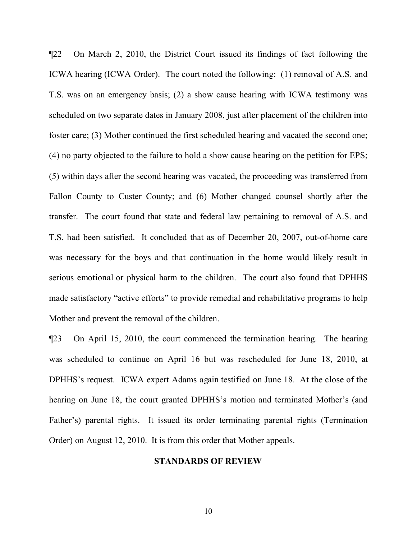¶22 On March 2, 2010, the District Court issued its findings of fact following the ICWA hearing (ICWA Order). The court noted the following: (1) removal of A.S. and T.S. was on an emergency basis; (2) a show cause hearing with ICWA testimony was scheduled on two separate dates in January 2008, just after placement of the children into foster care; (3) Mother continued the first scheduled hearing and vacated the second one; (4) no party objected to the failure to hold a show cause hearing on the petition for EPS; (5) within days after the second hearing was vacated, the proceeding was transferred from Fallon County to Custer County; and (6) Mother changed counsel shortly after the transfer. The court found that state and federal law pertaining to removal of A.S. and T.S. had been satisfied. It concluded that as of December 20, 2007, out-of-home care was necessary for the boys and that continuation in the home would likely result in serious emotional or physical harm to the children. The court also found that DPHHS made satisfactory "active efforts" to provide remedial and rehabilitative programs to help Mother and prevent the removal of the children.

¶23 On April 15, 2010, the court commenced the termination hearing. The hearing was scheduled to continue on April 16 but was rescheduled for June 18, 2010, at DPHHS's request. ICWA expert Adams again testified on June 18. At the close of the hearing on June 18, the court granted DPHHS's motion and terminated Mother's (and Father's) parental rights. It issued its order terminating parental rights (Termination Order) on August 12, 2010. It is from this order that Mother appeals.

### **STANDARDS OF REVIEW**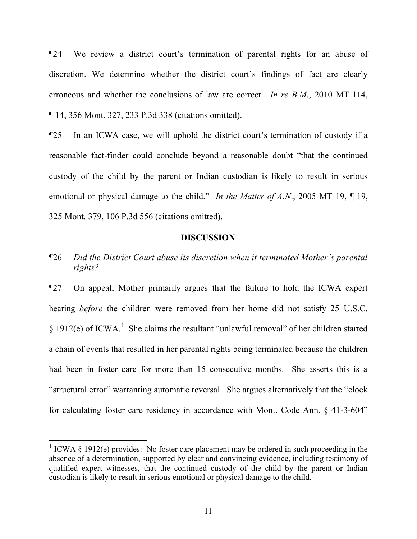¶24 We review a district court's termination of parental rights for an abuse of discretion. We determine whether the district court's findings of fact are clearly erroneous and whether the conclusions of law are correct. *In re B.M*., 2010 MT 114, ¶ 14, 356 Mont. 327, 233 P.3d 338 (citations omitted).

¶25 In an ICWA case, we will uphold the district court's termination of custody if a reasonable fact-finder could conclude beyond a reasonable doubt "that the continued custody of the child by the parent or Indian custodian is likely to result in serious emotional or physical damage to the child." *In the Matter of A.N*., 2005 MT 19, ¶ 19, 325 Mont. 379, 106 P.3d 556 (citations omitted).

### **DISCUSSION**

¶26 *Did the District Court abuse its discretion when it terminated Mother's parental rights?*

¶27 On appeal, Mother primarily argues that the failure to hold the ICWA expert hearing *before* the children were removed from her home did not satisfy 25 U.S.C.  $\S 1912(e)$  $\S 1912(e)$  $\S 1912(e)$  of ICWA.<sup>1</sup> She claims the resultant "unlawful removal" of her children started a chain of events that resulted in her parental rights being terminated because the children had been in foster care for more than 15 consecutive months. She asserts this is a "structural error" warranting automatic reversal. She argues alternatively that the "clock for calculating foster care residency in accordance with Mont. Code Ann. § 41-3-604"

i

<span id="page-10-0"></span><sup>&</sup>lt;sup>1</sup> ICWA § 1912(e) provides: No foster care placement may be ordered in such proceeding in the absence of a determination, supported by clear and convincing evidence, including testimony of qualified expert witnesses, that the continued custody of the child by the parent or Indian custodian is likely to result in serious emotional or physical damage to the child.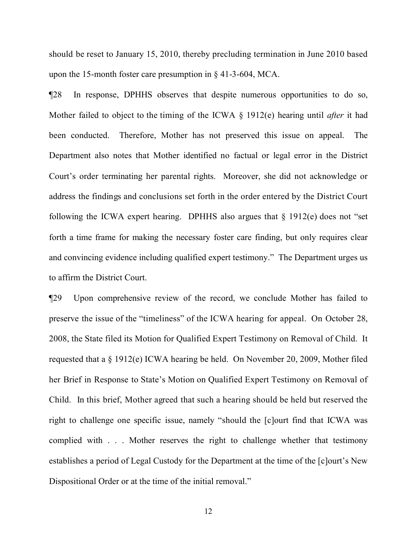should be reset to January 15, 2010, thereby precluding termination in June 2010 based upon the 15-month foster care presumption in § 41-3-604, MCA.

¶28 In response, DPHHS observes that despite numerous opportunities to do so, Mother failed to object to the timing of the ICWA § 1912(e) hearing until *after* it had been conducted. Therefore, Mother has not preserved this issue on appeal. The Department also notes that Mother identified no factual or legal error in the District Court's order terminating her parental rights. Moreover, she did not acknowledge or address the findings and conclusions set forth in the order entered by the District Court following the ICWA expert hearing. DPHHS also argues that  $\S$  1912(e) does not "set forth a time frame for making the necessary foster care finding, but only requires clear and convincing evidence including qualified expert testimony." The Department urges us to affirm the District Court.

¶29 Upon comprehensive review of the record, we conclude Mother has failed to preserve the issue of the "timeliness" of the ICWA hearing for appeal. On October 28, 2008, the State filed its Motion for Qualified Expert Testimony on Removal of Child. It requested that a § 1912(e) ICWA hearing be held. On November 20, 2009, Mother filed her Brief in Response to State's Motion on Qualified Expert Testimony on Removal of Child. In this brief, Mother agreed that such a hearing should be held but reserved the right to challenge one specific issue, namely "should the [c]ourt find that ICWA was complied with . . . Mother reserves the right to challenge whether that testimony establishes a period of Legal Custody for the Department at the time of the [c]ourt's New Dispositional Order or at the time of the initial removal."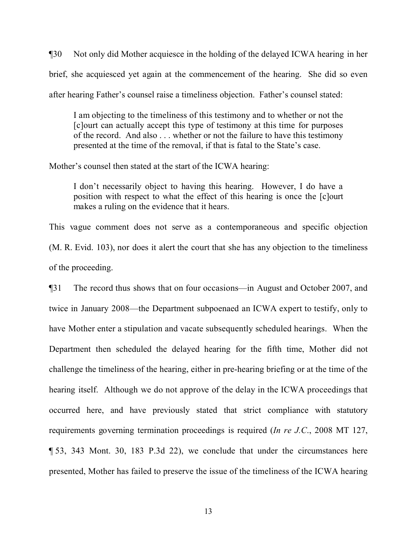¶30 Not only did Mother acquiesce in the holding of the delayed ICWA hearing in her brief, she acquiesced yet again at the commencement of the hearing. She did so even after hearing Father's counsel raise a timeliness objection. Father's counsel stated:

I am objecting to the timeliness of this testimony and to whether or not the [c]ourt can actually accept this type of testimony at this time for purposes of the record. And also . . . whether or not the failure to have this testimony presented at the time of the removal, if that is fatal to the State's case.

Mother's counsel then stated at the start of the ICWA hearing:

I don't necessarily object to having this hearing. However, I do have a position with respect to what the effect of this hearing is once the [c]ourt makes a ruling on the evidence that it hears.

This vague comment does not serve as a contemporaneous and specific objection (M. R. Evid. 103), nor does it alert the court that she has any objection to the timeliness of the proceeding.

¶31 The record thus shows that on four occasions—in August and October 2007, and twice in January 2008—the Department subpoenaed an ICWA expert to testify, only to have Mother enter a stipulation and vacate subsequently scheduled hearings. When the Department then scheduled the delayed hearing for the fifth time, Mother did not challenge the timeliness of the hearing, either in pre-hearing briefing or at the time of the hearing itself. Although we do not approve of the delay in the ICWA proceedings that occurred here, and have previously stated that strict compliance with statutory requirements governing termination proceedings is required (*In re J.C*., 2008 MT 127, ¶ 53, 343 Mont. 30, 183 P.3d 22), we conclude that under the circumstances here presented, Mother has failed to preserve the issue of the timeliness of the ICWA hearing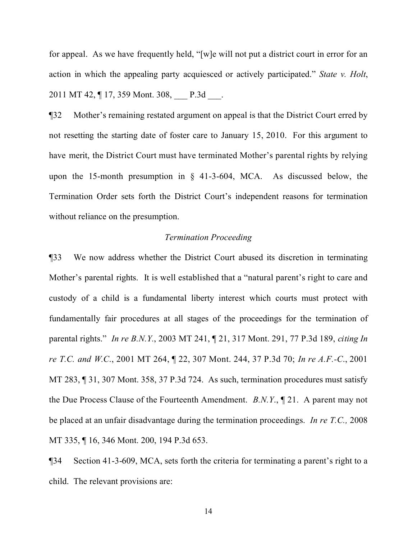for appeal. As we have frequently held, "[w]e will not put a district court in error for an action in which the appealing party acquiesced or actively participated." *State v. Holt*, 2011 MT 42,  $\P$  17, 359 Mont. 308, P.3d.

¶32 Mother's remaining restated argument on appeal is that the District Court erred by not resetting the starting date of foster care to January 15, 2010. For this argument to have merit, the District Court must have terminated Mother's parental rights by relying upon the 15-month presumption in § 41-3-604, MCA. As discussed below, the Termination Order sets forth the District Court's independent reasons for termination without reliance on the presumption.

## *Termination Proceeding*

¶33 We now address whether the District Court abused its discretion in terminating Mother's parental rights. It is well established that a "natural parent's right to care and custody of a child is a fundamental liberty interest which courts must protect with fundamentally fair procedures at all stages of the proceedings for the termination of parental rights." *In re B.N.Y.*, 2003 MT 241, ¶ 21, 317 Mont. 291, 77 P.3d 189, *citing In re T.C. and W.C*., 2001 MT 264, ¶ 22, 307 Mont. 244, 37 P.3d 70; *In re A.F.-C*., 2001 MT 283, ¶ 31, 307 Mont. 358, 37 P.3d 724. As such, termination procedures must satisfy the Due Process Clause of the Fourteenth Amendment. *B.N.Y*., ¶ 21. A parent may not be placed at an unfair disadvantage during the termination proceedings. *In re T.C.,* 2008 MT 335, ¶ 16, 346 Mont. 200, 194 P.3d 653.

¶34 Section 41-3-609, MCA, sets forth the criteria for terminating a parent's right to a child. The relevant provisions are: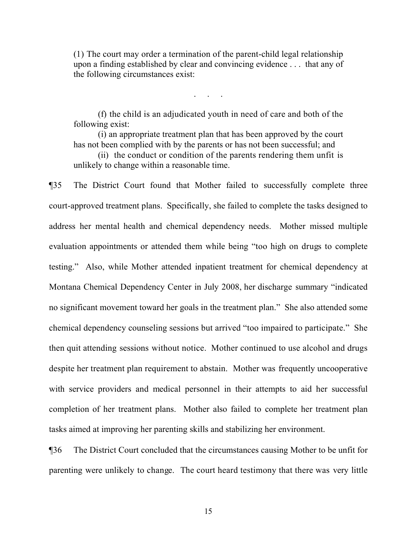(1) The court may order a termination of the parent-child legal relationship upon a finding established by clear and convincing evidence . . . that any of the following circumstances exist:

. . . . .<br>. . . . . .

(f) the child is an adjudicated youth in need of care and both of the following exist:

(i) an appropriate treatment plan that has been approved by the court has not been complied with by the parents or has not been successful; and

(ii) the conduct or condition of the parents rendering them unfit is unlikely to change within a reasonable time.

¶35 The District Court found that Mother failed to successfully complete three court-approved treatment plans. Specifically, she failed to complete the tasks designed to address her mental health and chemical dependency needs. Mother missed multiple evaluation appointments or attended them while being "too high on drugs to complete testing." Also, while Mother attended inpatient treatment for chemical dependency at Montana Chemical Dependency Center in July 2008, her discharge summary "indicated no significant movement toward her goals in the treatment plan." She also attended some chemical dependency counseling sessions but arrived "too impaired to participate." She then quit attending sessions without notice. Mother continued to use alcohol and drugs despite her treatment plan requirement to abstain. Mother was frequently uncooperative with service providers and medical personnel in their attempts to aid her successful completion of her treatment plans. Mother also failed to complete her treatment plan tasks aimed at improving her parenting skills and stabilizing her environment.

¶36 The District Court concluded that the circumstances causing Mother to be unfit for parenting were unlikely to change. The court heard testimony that there was very little